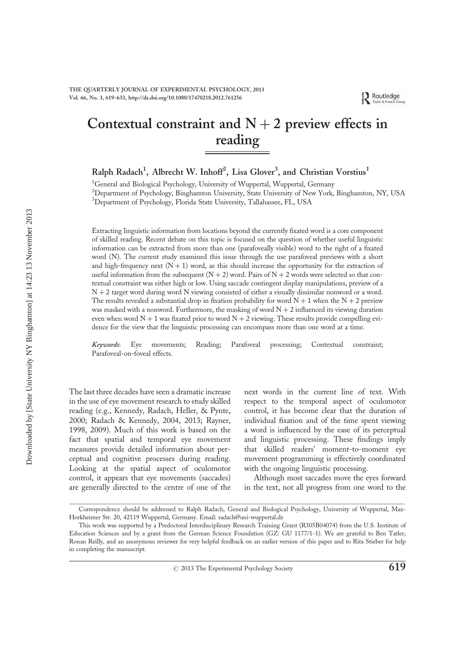# Contextual constraint and  $N + 2$  preview effects in reading

Ralph Radach<sup>1</sup>, Albrecht W. Inhoff<sup>2</sup>, Lisa Glover<sup>3</sup>, and Christian Vorstius<sup>1</sup>

<sup>1</sup>General and Biological Psychology, University of Wuppertal, Wuppertal, Germany <sup>2</sup>Department of Psychology, Binghamton University, State University of New York, Binghamton, NY, USA <sup>3</sup>Department of Psychology, Florida State University, Tallahassee, FL, USA

Extracting linguistic information from locations beyond the currently fixated word is a core component of skilled reading. Recent debate on this topic is focused on the question of whether useful linguistic information can be extracted from more than one (parafoveally visible) word to the right of a fixated word (N). The current study examined this issue through the use parafoveal previews with a short and high-frequency next  $(N + 1)$  word, as this should increase the opportunity for the extraction of useful information from the subsequent  $(N + 2)$  word. Pairs of  $N + 2$  words were selected so that contextual constraint was either high or low. Using saccade contingent display manipulations, preview of a N + 2 target word during word N viewing consisted of either a visually dissimilar nonword or a word. The results revealed a substantial drop in fixation probability for word  $N + 1$  when the  $N + 2$  preview was masked with a nonword. Furthermore, the masking of word  $N + 2$  influenced its viewing duration even when word  $N + 1$  was fixated prior to word  $N + 2$  viewing. These results provide compelling evidence for the view that the linguistic processing can encompass more than one word at a time.

Keywords: Eye movements; Reading; Parafoveal processing; Contextual constraint; Parafoveal-on-foveal effects.

The last three decades have seen a dramatic increase in the use of eye movement research to study skilled reading (e.g., Kennedy, Radach, Heller, & Pynte, 2000; Radach & Kennedy, 2004, 2013; Rayner, 1998, 2009). Much of this work is based on the fact that spatial and temporal eye movement measures provide detailed information about perceptual and cognitive processes during reading. Looking at the spatial aspect of oculomotor control, it appears that eye movements (saccades) are generally directed to the centre of one of the next words in the current line of text. With respect to the temporal aspect of oculomotor control, it has become clear that the duration of individual fixation and of the time spent viewing a word is influenced by the ease of its perceptual and linguistic processing. These findings imply that skilled readers' moment-to-moment eye movement programming is effectively coordinated with the ongoing linguistic processing.

Although most saccades move the eyes forward in the text, not all progress from one word to the

Correspondence should be addressed to Ralph Radach, General and Biological Psychology, University of Wuppertal, Max-Horkheimer Str. 20, 42119 Wuppertal, Germany. Email: radach@uni-wuppertal.de

This work was supported by a Predoctoral Interdisciplinary Research Training Grant (R305B04074) from the U.S. Institute of Education Sciences and by a grant from the German Science Foundation (GZ: GU 1177/1-1). We are grateful to Ben Tatler, Ronan Reilly, and an anonymous reviewer for very helpful feedback on an earlier version of this paper and to Rita Stieber for help in completing the manuscript.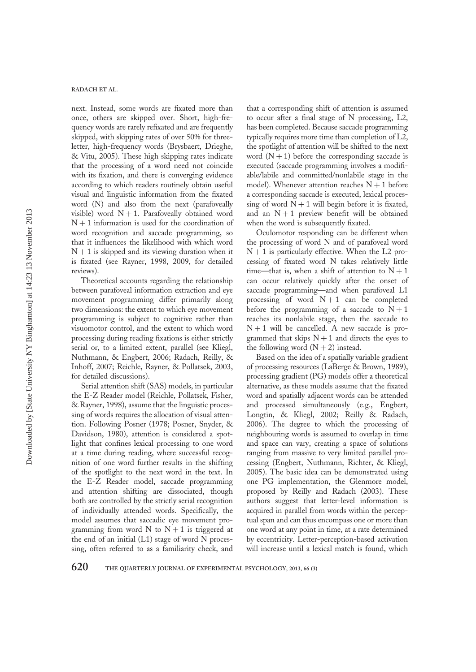next. Instead, some words are fixated more than once, others are skipped over. Short, high-frequency words are rarely refixated and are frequently skipped, with skipping rates of over 50% for threeletter, high-frequency words (Brysbaert, Drieghe, & Vitu, 2005). These high skipping rates indicate that the processing of a word need not coincide with its fixation, and there is converging evidence according to which readers routinely obtain useful visual and linguistic information from the fixated word (N) and also from the next (parafoveally visible) word  $N + 1$ . Parafoveally obtained word  $N + 1$  information is used for the coordination of word recognition and saccade programming, so that it influences the likelihood with which word  $N + 1$  is skipped and its viewing duration when it is fixated (see Rayner, 1998, 2009, for detailed reviews).

Theoretical accounts regarding the relationship between parafoveal information extraction and eye movement programming differ primarily along two dimensions: the extent to which eye movement programming is subject to cognitive rather than visuomotor control, and the extent to which word processing during reading fixations is either strictly serial or, to a limited extent, parallel (see Kliegl, Nuthmann, & Engbert, 2006; Radach, Reilly, & Inhoff, 2007; Reichle, Rayner, & Pollatsek, 2003, for detailed discussions).

Serial attention shift (SAS) models, in particular the E-Z Reader model (Reichle, Pollatsek, Fisher, & Rayner, 1998), assume that the linguistic processing of words requires the allocation of visual attention. Following Posner (1978; Posner, Snyder, & Davidson, 1980), attention is considered a spotlight that confines lexical processing to one word at a time during reading, where successful recognition of one word further results in the shifting of the spotlight to the next word in the text. In the E-Z Reader model, saccade programming and attention shifting are dissociated, though both are controlled by the strictly serial recognition of individually attended words. Specifically, the model assumes that saccadic eye movement programming from word N to  $N + 1$  is triggered at the end of an initial (L1) stage of word N processing, often referred to as a familiarity check, and

that a corresponding shift of attention is assumed to occur after a final stage of N processing, L2, has been completed. Because saccade programming typically requires more time than completion of L2, the spotlight of attention will be shifted to the next word  $(N + 1)$  before the corresponding saccade is executed (saccade programming involves a modifiable/labile and committed/nonlabile stage in the model). Whenever attention reaches  $N + 1$  before a corresponding saccade is executed, lexical processing of word  $N + 1$  will begin before it is fixated, and an  $N + 1$  preview benefit will be obtained when the word is subsequently fixated.

Oculomotor responding can be different when the processing of word N and of parafoveal word  $N + 1$  is particularly effective. When the L2 processing of fixated word N takes relatively little time—that is, when a shift of attention to  $N + 1$ can occur relatively quickly after the onset of saccade programming—and when parafoveal L1 processing of word  $N+1$  can be completed before the programming of a saccade to  $N+1$ reaches its nonlabile stage, then the saccade to  $N+1$  will be cancelled. A new saccade is programmed that skips  $N + 1$  and directs the eyes to the following word  $(N + 2)$  instead.

Based on the idea of a spatially variable gradient of processing resources (LaBerge & Brown, 1989), processing gradient (PG) models offer a theoretical alternative, as these models assume that the fixated word and spatially adjacent words can be attended and processed simultaneously (e.g., Engbert, Longtin, & Kliegl, 2002; Reilly & Radach, 2006). The degree to which the processing of neighbouring words is assumed to overlap in time and space can vary, creating a space of solutions ranging from massive to very limited parallel processing (Engbert, Nuthmann, Richter, & Kliegl, 2005). The basic idea can be demonstrated using one PG implementation, the Glenmore model, proposed by Reilly and Radach (2003). These authors suggest that letter-level information is acquired in parallel from words within the perceptual span and can thus encompass one or more than one word at any point in time, at a rate determined by eccentricity. Letter-perception-based activation will increase until a lexical match is found, which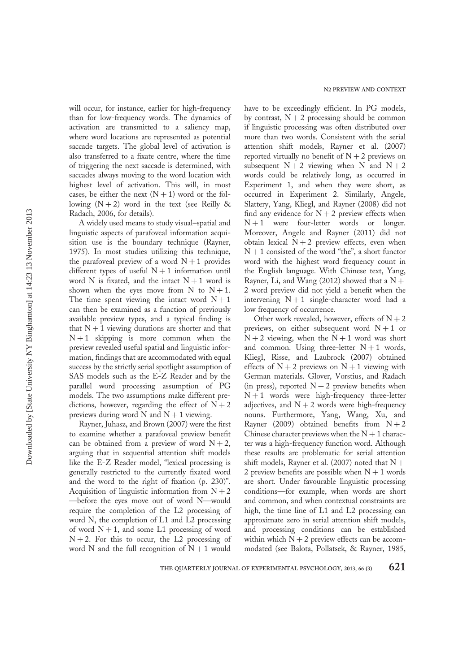will occur, for instance, earlier for high-frequency than for low-frequency words. The dynamics of activation are transmitted to a saliency map, where word locations are represented as potential saccade targets. The global level of activation is also transferred to a fixate centre, where the time of triggering the next saccade is determined, with saccades always moving to the word location with highest level of activation. This will, in most cases, be either the next  $(N + 1)$  word or the following  $(N + 2)$  word in the text (see Reilly & Radach, 2006, for details).

A widely used means to study visual–spatial and linguistic aspects of parafoveal information acquisition use is the boundary technique (Rayner, 1975). In most studies utilizing this technique, the parafoveal preview of a word  $N+1$  provides different types of useful  $N + 1$  information until word N is fixated, and the intact  $N + 1$  word is shown when the eyes move from N to  $N + 1$ . The time spent viewing the intact word  $N + 1$ can then be examined as a function of previously available preview types, and a typical finding is that  $N + 1$  viewing durations are shorter and that  $N+1$  skipping is more common when the preview revealed useful spatial and linguistic information, findings that are accommodated with equal success by the strictly serial spotlight assumption of SAS models such as the E-Z Reader and by the parallel word processing assumption of PG models. The two assumptions make different predictions, however, regarding the effect of  $N + 2$ previews during word  $\overline{N}$  and  $\overline{N} + 1$  viewing.

Rayner, Juhasz, and Brown (2007) were the first to examine whether a parafoveal preview benefit can be obtained from a preview of word  $N + 2$ , arguing that in sequential attention shift models like the E-Z Reader model, "lexical processing is generally restricted to the currently fixated word and the word to the right of fixation (p. 230)". Acquisition of linguistic information from  $N + 2$ —before the eyes move out of word N—would require the completion of the L2 processing of word N, the completion of L1 and L2 processing of word  $N + 1$ , and some L1 processing of word  $N + 2$ . For this to occur, the L2 processing of word N and the full recognition of  $N + 1$  would

have to be exceedingly efficient. In PG models, by contrast,  $N + 2$  processing should be common if linguistic processing was often distributed over more than two words. Consistent with the serial attention shift models, Rayner et al. (2007) reported virtually no benefit of  $N + 2$  previews on subsequent  $N + 2$  viewing when N and  $N + 2$ words could be relatively long, as occurred in Experiment 1, and when they were short, as occurred in Experiment 2. Similarly, Angele, Slattery, Yang, Kliegl, and Rayner (2008) did not find any evidence for  $N + 2$  preview effects when  $N+1$  were four-letter words or longer. Moreover, Angele and Rayner (2011) did not obtain lexical  $N + 2$  preview effects, even when  $N + 1$  consisted of the word "the", a short functor word with the highest word frequency count in the English language. With Chinese text, Yang, Rayner, Li, and Wang (2012) showed that a  $N +$ 2 word preview did not yield a benefit when the intervening  $N+1$  single-character word had a low frequency of occurrence.

Other work revealed, however, effects of  $N + 2$ previews, on either subsequent word  $N+1$  or  $N + 2$  viewing, when the  $N + 1$  word was short and common. Using three-letter  $N+1$  words, Kliegl, Risse, and Laubrock (2007) obtained effects of  $N + 2$  previews on  $N + 1$  viewing with German materials. Glover, Vorstius, and Radach (in press), reported  $N + 2$  preview benefits when  $N + 1$  words were high-frequency three-letter adjectives, and  $N + 2$  words were high-frequency nouns. Furthermore, Yang, Wang, Xu, and Rayner (2009) obtained benefits from  $N + 2$ Chinese character previews when the  $N + 1$  character was a high-frequency function word. Although these results are problematic for serial attention shift models, Rayner et al. (2007) noted that  $N +$ 2 preview benefits are possible when  $N + 1$  words are short. Under favourable linguistic processing conditions—for example, when words are short and common, and when contextual constraints are high, the time line of L1 and L2 processing can approximate zero in serial attention shift models, and processing conditions can be established within which  $N + 2$  preview effects can be accommodated (see Balota, Pollatsek, & Rayner, 1985,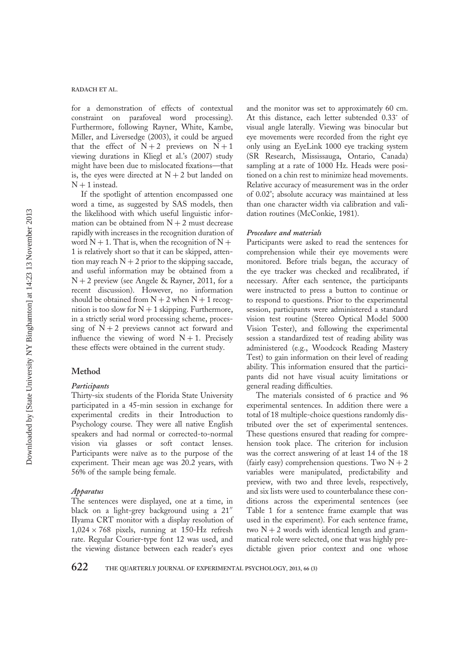for a demonstration of effects of contextual constraint on parafoveal word processing). Furthermore, following Rayner, White, Kambe, Miller, and Liversedge (2003), it could be argued that the effect of  $N+2$  previews on  $N+1$ viewing durations in Kliegl et al.'s (2007) study might have been due to mislocated fixations—that is, the eyes were directed at  $N + 2$  but landed on  $N + 1$  instead.

If the spotlight of attention encompassed one word a time, as suggested by SAS models, then the likelihood with which useful linguistic information can be obtained from  $N + 2$  must decrease rapidly with increases in the recognition duration of word  $N + 1$ . That is, when the recognition of  $N +$ 1 is relatively short so that it can be skipped, attention may reach  $N + 2$  prior to the skipping saccade, and useful information may be obtained from a  $N + 2$  preview (see Angele & Rayner, 2011, for a recent discussion). However, no information should be obtained from  $N + 2$  when  $N + 1$  recognition is too slow for  $N + 1$  skipping. Furthermore, in a strictly serial word processing scheme, processing of  $N + 2$  previews cannot act forward and influence the viewing of word  $N+1$ . Precisely these effects were obtained in the current study.

## Method

## Participants

Thirty-six students of the Florida State University participated in a 45-min session in exchange for experimental credits in their Introduction to Psychology course. They were all native English speakers and had normal or corrected-to-normal vision via glasses or soft contact lenses. Participants were naïve as to the purpose of the experiment. Their mean age was 20.2 years, with 56% of the sample being female.

#### Apparatus

The sentences were displayed, one at a time, in black on a light-grey background using a 21′′ IIyama CRT monitor with a display resolution of  $1,024 \times 768$  pixels, running at 150-Hz refresh rate. Regular Courier-type font 12 was used, and the viewing distance between each reader's eyes

and the monitor was set to approximately 60 cm. At this distance, each letter subtended 0.33˚ of visual angle laterally. Viewing was binocular but eye movements were recorded from the right eye only using an EyeLink 1000 eye tracking system (SR Research, Mississauga, Ontario, Canada) sampling at a rate of 1000 Hz. Heads were positioned on a chin rest to minimize head movements. Relative accuracy of measurement was in the order of 0.02°; absolute accuracy was maintained at less than one character width via calibration and validation routines (McConkie, 1981).

## Procedure and materials

Participants were asked to read the sentences for comprehension while their eye movements were monitored. Before trials began, the accuracy of the eye tracker was checked and recalibrated, if necessary. After each sentence, the participants were instructed to press a button to continue or to respond to questions. Prior to the experimental session, participants were administered a standard vision test routine (Stereo Optical Model 5000 Vision Tester), and following the experimental session a standardized test of reading ability was administered (e.g., Woodcock Reading Mastery Test) to gain information on their level of reading ability. This information ensured that the participants did not have visual acuity limitations or general reading difficulties.

The materials consisted of 6 practice and 96 experimental sentences. In addition there were a total of 18 multiple-choice questions randomly distributed over the set of experimental sentences. These questions ensured that reading for comprehension took place. The criterion for inclusion was the correct answering of at least 14 of the 18 (fairly easy) comprehension questions. Two  $N + 2$ variables were manipulated, predictability and preview, with two and three levels, respectively, and six lists were used to counterbalance these conditions across the experimental sentences (see Table 1 for a sentence frame example that was used in the experiment). For each sentence frame, two  $N + 2$  words with identical length and grammatical role were selected, one that was highly predictable given prior context and one whose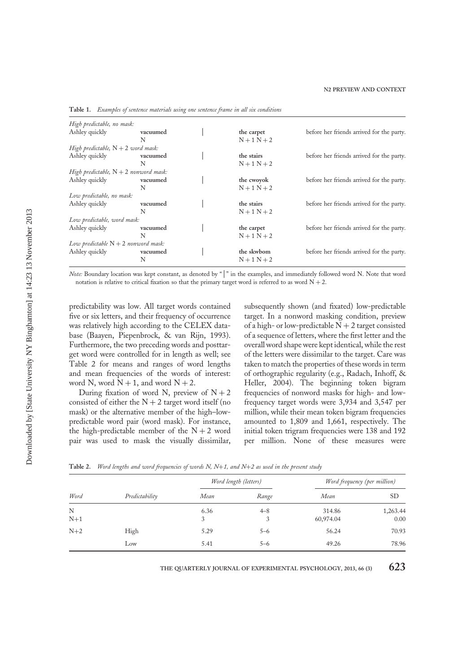| High predictable, no mask:              |          |               |                                           |
|-----------------------------------------|----------|---------------|-------------------------------------------|
| Ashley quickly                          | vacuumed | the carpet    | before her friends arrived for the party. |
|                                         | N        | $N + 1 N + 2$ |                                           |
| High predictable, $N + 2$ word mask:    |          |               |                                           |
| Ashley quickly                          | vacuumed | the stairs    | before her friends arrived for the party. |
|                                         | N        | $N + 1 N + 2$ |                                           |
| High predictable, $N + 2$ nonword mask: |          |               |                                           |
| Ashley quickly                          | vacuumed | the cwoyok    | before her friends arrived for the party. |
|                                         | N        | $N + 1 N + 2$ |                                           |
| Low predictable, no mask:               |          |               |                                           |
| Ashley quickly                          | vacuumed | the stairs    | before her friends arrived for the party. |
|                                         | N        | $N+1 N+2$     |                                           |
| Low predictable, word mask:             |          |               |                                           |
| Ashley quickly                          | vacuumed | the carpet    | before her friends arrived for the party. |
|                                         | N        | $N + 1 N + 2$ |                                           |
| Low predictable $N + 2$ nonword mask:   |          |               |                                           |
| Ashley quickly                          | vacuumed | the skwbom    | before her friends arrived for the party. |
|                                         | N        | $N+1 N+2$     |                                           |
|                                         |          |               |                                           |

Table 1. Examples of sentence materials using one sentence frame in all six conditions

Note: Boundary location was kept constant, as denoted by "|" in the examples, and immediately followed word N. Note that word notation is relative to critical fixation so that the primary target word is referred to as word  $N + 2$ .

predictability was low. All target words contained five or six letters, and their frequency of occurrence was relatively high according to the CELEX database (Baayen, Piepenbrock, & van Rijn, 1993). Furthermore, the two preceding words and posttarget word were controlled for in length as well; see Table 2 for means and ranges of word lengths and mean frequencies of the words of interest: word N, word  $N + 1$ , and word  $N + 2$ .

During fixation of word N, preview of  $N + 2$ consisted of either the  $N + 2$  target word itself (no mask) or the alternative member of the high–lowpredictable word pair (word mask). For instance, the high-predictable member of the  $N + 2$  word pair was used to mask the visually dissimilar, subsequently shown (and fixated) low-predictable target. In a nonword masking condition, preview of a high- or low-predictable  $N + 2$  target consisted of a sequence of letters, where the first letter and the overall word shape were kept identical, while the rest of the letters were dissimilar to the target. Care was taken to match the properties of these words in term of orthographic regularity (e.g., Radach, Inhoff, & Heller, 2004). The beginning token bigram frequencies of nonword masks for high- and lowfrequency target words were 3,934 and 3,547 per million, while their mean token bigram frequencies amounted to 1,809 and 1,661, respectively. The initial token trigram frequencies were 138 and 192 per million. None of these measures were

|            |                | Word length (letters) |              | Word frequency (per million) |                  |
|------------|----------------|-----------------------|--------------|------------------------------|------------------|
| Word       | Predictability | Mean                  | Range        | Mean                         | <b>SD</b>        |
| N<br>$N+1$ |                | 6.36<br>3             | $4 - 8$<br>3 | 314.86<br>60,974.04          | 1,263.44<br>0.00 |
| $N+2$      | High           | 5.29                  | $5 - 6$      | 56.24                        | 70.93            |
|            | Low            | 5.41                  | $5 - 6$      | 49.26                        | 78.96            |

Table 2. Word lengths and word frequencies of words N, N+1, and N+2 as used in the present study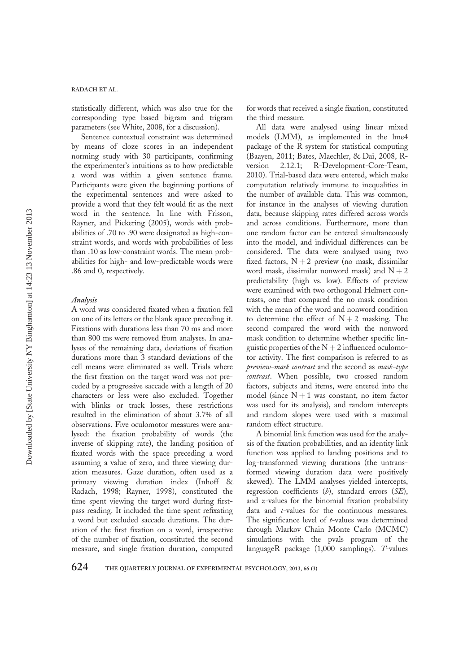statistically different, which was also true for the corresponding type based bigram and trigram parameters (see White, 2008, for a discussion).

Sentence contextual constraint was determined by means of cloze scores in an independent norming study with 30 participants, confirming the experimenter's intuitions as to how predictable a word was within a given sentence frame. Participants were given the beginning portions of the experimental sentences and were asked to provide a word that they felt would fit as the next word in the sentence. In line with Frisson, Rayner, and Pickering (2005), words with probabilities of .70 to .90 were designated as high-constraint words, and words with probabilities of less than .10 as low-constraint words. The mean probabilities for high- and low-predictable words were .86 and 0, respectively.

## Analysis

A word was considered fixated when a fixation fell on one of its letters or the blank space preceding it. Fixations with durations less than 70 ms and more than 800 ms were removed from analyses. In analyses of the remaining data, deviations of fixation durations more than 3 standard deviations of the cell means were eliminated as well. Trials where the first fixation on the target word was not preceded by a progressive saccade with a length of 20 characters or less were also excluded. Together with blinks or track losses, these restrictions resulted in the elimination of about 3.7% of all observations. Five oculomotor measures were analysed: the fixation probability of words (the inverse of skipping rate), the landing position of fixated words with the space preceding a word assuming a value of zero, and three viewing duration measures. Gaze duration, often used as a primary viewing duration index (Inhoff & Radach, 1998; Rayner, 1998), constituted the time spent viewing the target word during firstpass reading. It included the time spent refixating a word but excluded saccade durations. The duration of the first fixation on a word, irrespective of the number of fixation, constituted the second measure, and single fixation duration, computed

for words that received a single fixation, constituted the third measure.

All data were analysed using linear mixed models (LMM), as implemented in the lme4 package of the R system for statistical computing (Baayen, 2011; Bates, Maechler, & Dai, 2008, Rversion 2.12.1; R-Development-Core-Team, 2010). Trial-based data were entered, which make computation relatively immune to inequalities in the number of available data. This was common, for instance in the analyses of viewing duration data, because skipping rates differed across words and across conditions. Furthermore, more than one random factor can be entered simultaneously into the model, and individual differences can be considered. The data were analysed using two fixed factors,  $N + 2$  preview (no mask, dissimilar word mask, dissimilar nonword mask) and  $N + 2$ predictability (high vs. low). Effects of preview were examined with two orthogonal Helmert contrasts, one that compared the no mask condition with the mean of the word and nonword condition to determine the effect of  $N + 2$  masking. The second compared the word with the nonword mask condition to determine whether specific linguistic properties of the  $N + 2$  influenced oculomotor activity. The first comparison is referred to as preview-mask contrast and the second as mask-type contrast. When possible, two crossed random factors, subjects and items, were entered into the model (since  $N+1$  was constant, no item factor was used for its analysis), and random intercepts and random slopes were used with a maximal random effect structure.

A binomial link function was used for the analysis of the fixation probabilities, and an identity link function was applied to landing positions and to log-transformed viewing durations (the untransformed viewing duration data were positively skewed). The LMM analyses yielded intercepts, regression coefficients  $(b)$ , standard errors  $(SE)$ , and z-values for the binomial fixation probability data and *t*-values for the continuous measures. The significance level of  $t$ -values was determined through Markov Chain Monte Carlo (MCMC) simulations with the pvals program of the languageR package (1,000 samplings). T-values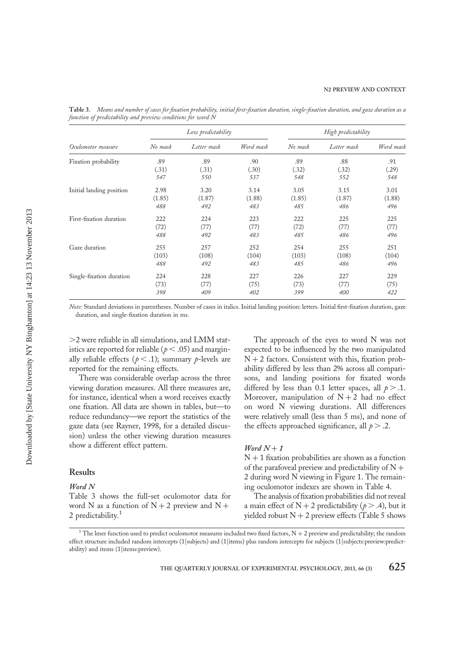|                          |         | Low predictability |           |         | High predictability |           |  |
|--------------------------|---------|--------------------|-----------|---------|---------------------|-----------|--|
| Oculomotor measure       | No mask | Letter mask        | Word mask | No mask | Letter mask         | Word mask |  |
| Fixation probability     | .89     | .89                | .90       | .89     | .88                 | .91       |  |
|                          | (.31)   | (.31)              | (.30)     | (.32)   | (.32)               | (.29)     |  |
|                          | 547     | 550                | 537       | 548     | 552                 | 548       |  |
| Initial landing position | 2.98    | 3.20               | 3.14      | 3.05    | 3.15                | 3.01      |  |
|                          | (1.85)  | (1.87)             | (1.88)    | (1.85)  | (1.87)              | (1.88)    |  |
|                          | 488     | 492                | 483       | 485     | 486                 | 496       |  |
| First-fixation duration  | 222     | 224                | 223       | 222     | 225                 | 225       |  |
|                          | (72)    | (77)               | (77)      | (72)    | (77)                | (77)      |  |
|                          | 488     | 492                | 483       | 485     | 486                 | 496       |  |
| Gaze duration            | 255     | 257                | 252       | 254     | 255                 | 251       |  |
|                          | (103)   | (108)              | (104)     | (103)   | (108)               | (104)     |  |
|                          | 488     | 492                | 483       | 485     | 486                 | 496       |  |
| Single-fixation duration | 224     | 228                | 227       | 226     | 227                 | 229       |  |
|                          | (73)    | (77)               | (75)      | (73)    | (77)                | (75)      |  |
|                          | 398     | 409                | 402       | 399     | 400                 | 422       |  |

Table 3. Means and number of cases for fixation probability, initial first-fixation duration, single-fixation duration, and gaze duration as a function of predictability and preview conditions for word N

Note: Standard deviations in parentheses. Number of cases in italics. Initial landing position: letters. Initial first-fixation duration, gaze duration, and single-fixation duration in ms.

.2 were reliable in all simulations, and LMM statistics are reported for reliable ( $p < .05$ ) and marginally reliable effects ( $p < .1$ ); summary p-levels are reported for the remaining effects.

There was considerable overlap across the three viewing duration measures. All three measures are, for instance, identical when a word receives exactly one fixation. All data are shown in tables, but—to reduce redundancy—we report the statistics of the gaze data (see Rayner, 1998, for a detailed discussion) unless the other viewing duration measures show a different effect pattern.

## Results

## Word N

Table 3 shows the full-set oculomotor data for word N as a function of  $N + 2$  preview and  $N +$ 2 predictability. $1$ 

The approach of the eyes to word N was not expected to be influenced by the two manipulated  $N + 2$  factors. Consistent with this, fixation probability differed by less than 2% across all comparisons, and landing positions for fixated words differed by less than 0.1 letter spaces, all  $p > 0.1$ . Moreover, manipulation of  $N + 2$  had no effect on word N viewing durations. All differences were relatively small (less than 5 ms), and none of the effects approached significance, all  $p > .2$ .

## Word  $N+1$

 $N + 1$  fixation probabilities are shown as a function of the parafoveal preview and predictability of  $N +$ 2 during word N viewing in Figure 1. The remaining oculomotor indexes are shown in Table 4.

The analysis of fixation probabilities did not reveal a main effect of  $N + 2$  predictability ( $p > .4$ ), but it yielded robust  $N + 2$  preview effects (Table 5 shows

 $^1$  The lmer function used to predict oculomotor measures included two fixed factors, N  $+$  2 preview and predictability; the random effect structure included random intercepts (1|subjects) and (1|items) plus random intercepts for subjects (1|subjects:preview:predictability) and items (1|items:preview).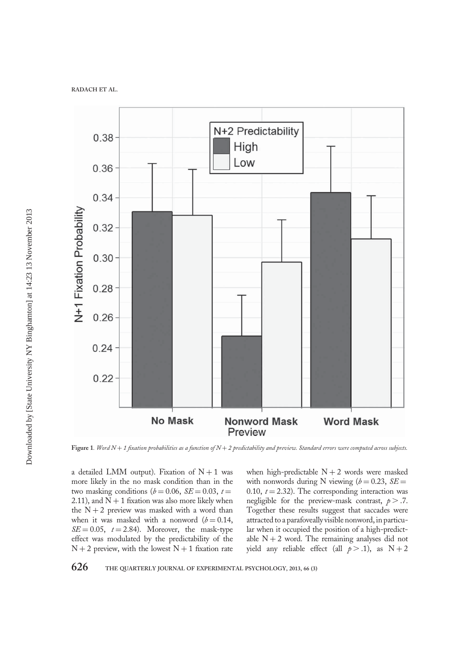

Figure 1. Word  $N+1$  fixation probabilities as a function of  $N+2$  predictability and preview. Standard errors were computed across subjects.

a detailed LMM output). Fixation of  $N + 1$  was more likely in the no mask condition than in the two masking conditions ( $b = 0.06$ ,  $SE = 0.03$ ,  $t =$ 2.11), and  $N + 1$  fixation was also more likely when the  $N + 2$  preview was masked with a word than when it was masked with a nonword  $(b = 0.14,$  $SE = 0.05$ ,  $t = 2.84$ ). Moreover, the mask-type effect was modulated by the predictability of the  $N + 2$  preview, with the lowest  $N + 1$  fixation rate

when high-predictable  $N + 2$  words were masked with nonwords during N viewing ( $b = 0.23$ ,  $SE =$ 0.10,  $t = 2.32$ ). The corresponding interaction was negligible for the preview-mask contrast,  $p > .7$ . Together these results suggest that saccades were attracted to a parafoveally visible nonword, in particular when it occupied the position of a high-predictable  $N + 2$  word. The remaining analyses did not yield any reliable effect (all  $p > .1$ ), as  $N + 2$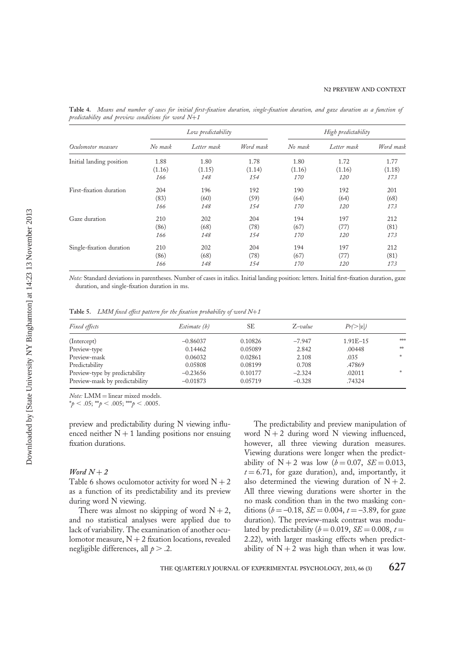|                          | Low predictability |             |           | High predictability |             |           |
|--------------------------|--------------------|-------------|-----------|---------------------|-------------|-----------|
| Oculomotor measure       | No mask            | Letter mask | Word mask | No mask             | Letter mask | Word mask |
| Initial landing position | 1.88               | 1.80        | 1.78      | 1.80                | 1.72        | 1.77      |
|                          | (1.16)             | (1.15)      | (1.14)    | (1.16)              | (1.16)      | (1.18)    |
|                          | 166                | 148         | 154       | 170                 | 120         | 173       |
| First-fixation duration  | 204                | 196         | 192       | 190                 | 192         | 201       |
|                          | (83)               | (60)        | (59)      | (64)                | (64)        | (68)      |
|                          | 166                | 148         | 154       | 170                 | <i>120</i>  | 173       |
| Gaze duration            | 210                | 202         | 204       | 194                 | 197         | 212       |
|                          | (86)               | (68)        | (78)      | (67)                | (77)        | (81)      |
|                          | 166                | 148         | 154       | <i>170</i>          | <i>120</i>  | 173       |
| Single-fixation duration | 210                | 202         | 204       | 194                 | 197         | 212       |
|                          | (86)               | (68)        | (78)      | (67)                | (77)        | (81)      |
|                          | 166                | 148         | 154       | <i>170</i>          | <i>120</i>  | 173       |

Table 4. Means and number of cases for initial first-fixation duration, single-fixation duration, and gaze duration as a function of predictability and preview conditions for word  $N+1$ 

Note: Standard deviations in parentheses. Number of cases in italics. Initial landing position: letters. Initial first-fixation duration, gaze duration, and single-fixation duration in ms.

Table 5. LMM fixed effect pattern for the fixation probability of word  $N+1$ 

| <i>Fixed effects</i>           | Estimate (b) | SЕ      | $Z$ -value | $Pr(\geq  z )$ |                   |
|--------------------------------|--------------|---------|------------|----------------|-------------------|
| (Intercept)                    | $-0.86037$   | 0.10826 | $-7.947$   | $1.91E - 15$   | s[ <sub>0</sub> ] |
| Preview-type                   | 0.14462      | 0.05089 | 2.842      | .00448         | $\frac{1}{2}$     |
| Preview-mask                   | 0.06032      | 0.02861 | 2.108      | .035           | $\mathcal{H}$     |
| Predictability                 | 0.05808      | 0.08199 | 0.708      | .47869         |                   |
| Preview-type by predictability | $-0.23656$   | 0.10177 | $-2.324$   | .02011         | 水                 |
| Preview-mask by predictability | $-0.01873$   | 0.05719 | $-0.328$   | .74324         |                   |

Note: LMM = linear mixed models.

 $*_{p}$  < .05;  $*_{p}$  < .005;  $*_{p}$  < .0005.

preview and predictability during N viewing influenced neither  $N + 1$  landing positions nor ensuing fixation durations.

## Word  $N+2$

Table 6 shows oculomotor activity for word  $N + 2$ as a function of its predictability and its preview during word N viewing.

There was almost no skipping of word  $N + 2$ , and no statistical analyses were applied due to lack of variability. The examination of another oculomotor measure,  $N + 2$  fixation locations, revealed negligible differences, all  $p > 0.2$ .

The predictability and preview manipulation of word  $N + 2$  during word N viewing influenced, however, all three viewing duration measures. Viewing durations were longer when the predictability of  $N + 2$  was low ( $b = 0.07$ ,  $SE = 0.013$ ,  $t = 6.71$ , for gaze duration), and, importantly, it also determined the viewing duration of  $N + 2$ . All three viewing durations were shorter in the no mask condition than in the two masking conditions ( $b = -0.18$ ,  $SE = 0.004$ ,  $t = -3.89$ , for gaze duration). The preview-mask contrast was modulated by predictability ( $b = 0.019$ ,  $SE = 0.008$ ,  $t =$ 2.22), with larger masking effects when predictability of  $N + 2$  was high than when it was low.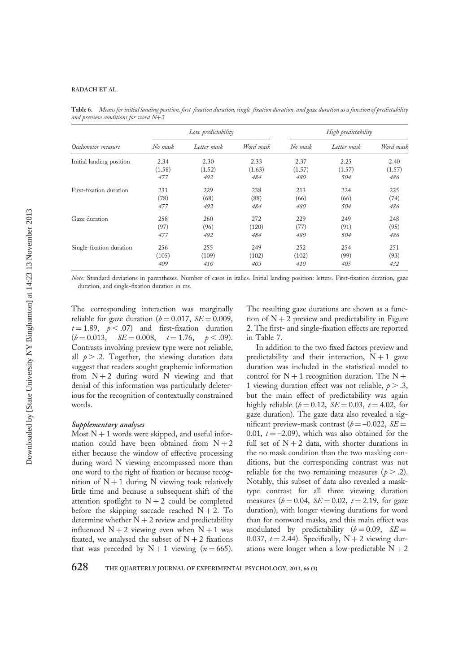Table 6. Means for initial landing position, first-fixation duration, single-fixation duration, and gaze duration as a function of predictability and preview conditions for word N+2

|                          |         | Low predictability |           |         | High predictability |           |  |
|--------------------------|---------|--------------------|-----------|---------|---------------------|-----------|--|
| Oculomotor measure       | No mask | Letter mask        | Word mask | No mask | Letter mask         | Word mask |  |
| Initial landing position | 2.34    | 2.30               | 2.33      | 2.37    | 2.25                | 2.40      |  |
|                          | (1.58)  | (1.52)             | (1.63)    | (1.57)  | (1.57)              | (1.57)    |  |
|                          | 477     | 492                | 484       | 480     | 504                 | 486       |  |
| First-fixation duration  | 231     | 229                | 238       | 213     | 224                 | 225       |  |
|                          | (78)    | (68)               | (88)      | (66)    | (66)                | (74)      |  |
|                          | 477     | 492                | 484       | 480     | 504                 | 486       |  |
| Gaze duration            | 258     | 260                | 272       | 229     | 249                 | 248       |  |
|                          | (97)    | (96)               | (120)     | (77)    | (91)                | (95)      |  |
|                          | 477     | 492                | 484       | 480     | 504                 | 486       |  |
| Single-fixation duration | 256     | 255                | 249       | 252     | 254                 | 251       |  |
|                          | (105)   | (109)              | (102)     | (102)   | (99)                | (93)      |  |
|                          | 409     | 410                | 403       | 410     | 405                 | 432       |  |

Note: Standard deviations in parentheses. Number of cases in italics. Initial landing position: letters. First-fixation duration, gaze duration, and single-fixation duration in ms.

The corresponding interaction was marginally reliable for gaze duration ( $b = 0.017$ ,  $SE = 0.009$ ,  $t = 1.89$ ,  $p < .07$ ) and first-fixation duration  $(b = 0.013, \quad SE = 0.008, \quad t = 1.76, \quad p < .09).$ Contrasts involving preview type were not reliable, all  $p > 0.2$ . Together, the viewing duration data suggest that readers sought graphemic information from  $N + 2$  during word N viewing and that denial of this information was particularly deleterious for the recognition of contextually constrained words.

## Supplementary analyses

Most  $N + 1$  words were skipped, and useful information could have been obtained from  $N + 2$ either because the window of effective processing during word N viewing encompassed more than one word to the right of fixation or because recognition of  $N + 1$  during N viewing took relatively little time and because a subsequent shift of the attention spotlight to  $N + 2$  could be completed before the skipping saccade reached  $N + 2$ . To determine whether  $N + 2$  review and predictability influenced  $N + 2$  viewing even when  $N + 1$  was fixated, we analysed the subset of  $N + 2$  fixations that was preceded by  $N + 1$  viewing  $(n = 665)$ .

The resulting gaze durations are shown as a function of  $N + 2$  preview and predictability in Figure 2. The first- and single-fixation effects are reported in Table 7.

In addition to the two fixed factors preview and predictability and their interaction,  $N+1$  gaze duration was included in the statistical model to control for  $N + 1$  recognition duration. The  $N +$ 1 viewing duration effect was not reliable,  $p > .3$ , but the main effect of predictability was again highly reliable ( $b = 0.12$ ,  $SE = 0.03$ ,  $t = 4.02$ , for gaze duration). The gaze data also revealed a significant preview-mask contrast ( $b = -0.022$ ,  $SE =$ 0.01,  $t = -2.09$ ), which was also obtained for the full set of  $N + 2$  data, with shorter durations in the no mask condition than the two masking conditions, but the corresponding contrast was not reliable for the two remaining measures ( $p > .2$ ). Notably, this subset of data also revealed a masktype contrast for all three viewing duration measures ( $b = 0.04$ ,  $SE = 0.02$ ,  $t = 2.19$ , for gaze duration), with longer viewing durations for word than for nonword masks, and this main effect was modulated by predictability  $(b = 0.09, \ \text{SE} =$ 0.037,  $t = 2.44$ ). Specifically, N + 2 viewing durations were longer when a low-predictable  $N + 2$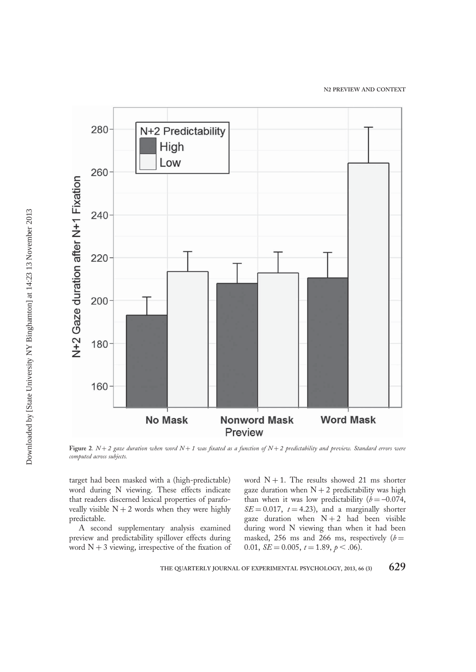

Figure 2.  $N+2$  gaze duration when word  $N+1$  was fixated as a function of  $N+2$  predictability and preview. Standard errors were computed across subjects.

target had been masked with a (high-predictable) word during N viewing. These effects indicate that readers discerned lexical properties of parafoveally visible  $N + 2$  words when they were highly predictable.

A second supplementary analysis examined preview and predictability spillover effects during word  $N + 3$  viewing, irrespective of the fixation of word  $N + 1$ . The results showed 21 ms shorter gaze duration when  $N + 2$  predictability was high than when it was low predictability  $(b = -0.074,$  $SE = 0.017$ ,  $t = 4.23$ ), and a marginally shorter gaze duration when  $N + 2$  had been visible during word N viewing than when it had been masked, 256 ms and 266 ms, respectively  $(b =$ 0.01,  $SE = 0.005$ ,  $t = 1.89$ ,  $p < .06$ ).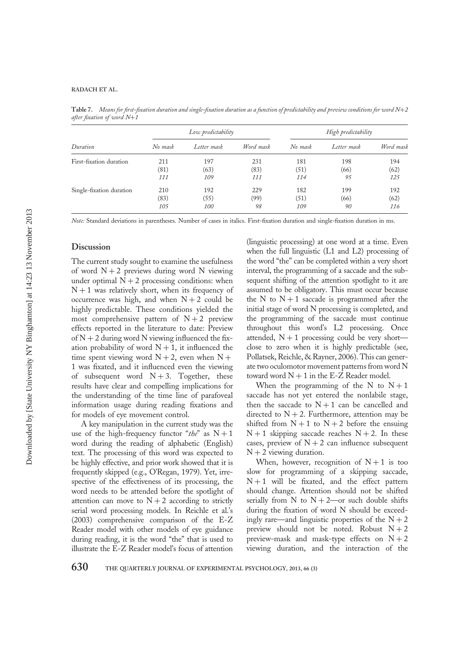Table 7. Means for first-fixation duration and single-fixation duration as a function of predictability and preview conditions for word  $N+2$ after fixation of word N+1

| Duration                 | Low predictability |             |           | High predictability |             |           |
|--------------------------|--------------------|-------------|-----------|---------------------|-------------|-----------|
|                          | No mask            | Letter mask | Word mask | No mask             | Letter mask | Word mask |
| First-fixation duration  | 211                | 197         | 231       | 181                 | 198         | 194       |
|                          | (81)               | (63)        | (83)      | (51)                | (66)        | (62)      |
|                          | 111                | 109         | 111       | 114                 | 95          | 125       |
| Single-fixation duration | 210                | 192         | 229       | 182                 | 199         | 192       |
|                          | (83)               | (55)        | (99)      | (51)                | (66)        | (62)      |
|                          | <i>105</i>         | <i>100</i>  | 98        | 109                 | 90          | 116       |

Note: Standard deviations in parentheses. Number of cases in italics. First-fixation duration and single-fixation duration in ms.

#### **Discussion**

The current study sought to examine the usefulness of word  $N + 2$  previews during word N viewing under optimal  $N + 2$  processing conditions: when  $N + 1$  was relatively short, when its frequency of occurrence was high, and when  $N + 2$  could be highly predictable. These conditions yielded the most comprehensive pattern of  $N+2$  preview effects reported in the literature to date: Preview of  $N + 2$  during word N viewing influenced the fixation probability of word  $N + 1$ , it influenced the time spent viewing word  $N + 2$ , even when  $N +$ 1 was fixated, and it influenced even the viewing of subsequent word  $N + 3$ . Together, these results have clear and compelling implications for the understanding of the time line of parafoveal information usage during reading fixations and for models of eye movement control.

A key manipulation in the current study was the use of the high-frequency functor "the" as  $N + 1$ word during the reading of alphabetic (English) text. The processing of this word was expected to be highly effective, and prior work showed that it is frequently skipped (e.g., O'Regan, 1979). Yet, irrespective of the effectiveness of its processing, the word needs to be attended before the spotlight of attention can move to  $N + 2$  according to strictly serial word processing models. In Reichle et al.'s (2003) comprehensive comparison of the E-Z Reader model with other models of eye guidance during reading, it is the word "the" that is used to illustrate the E-Z Reader model's focus of attention

(linguistic processing) at one word at a time. Even when the full linguistic (L1 and L2) processing of the word "the" can be completed within a very short interval, the programming of a saccade and the subsequent shifting of the attention spotlight to it are assumed to be obligatory. This must occur because the N to  $N + 1$  saccade is programmed after the initial stage of word N processing is completed, and the programming of the saccade must continue throughout this word's L2 processing. Once attended,  $N + 1$  processing could be very short close to zero when it is highly predictable (see, Pollatsek, Reichle, & Rayner, 2006). This can generate two oculomotor movement patterns from word N toward word  $N + 1$  in the E-Z Reader model.

When the programming of the N to  $N+1$ saccade has not yet entered the nonlabile stage, then the saccade to  $N + 1$  can be cancelled and directed to  $N + 2$ . Furthermore, attention may be shifted from  $N + 1$  to  $N + 2$  before the ensuing  $N + 1$  skipping saccade reaches  $N + 2$ . In these cases, preview of  $N + 2$  can influence subsequent  $N + 2$  viewing duration.

When, however, recognition of  $N+1$  is too slow for programming of a skipping saccade,  $N + 1$  will be fixated, and the effect pattern should change. Attention should not be shifted serially from N to  $N + 2$ —or such double shifts during the fixation of word N should be exceedingly rare—and linguistic properties of the  $N + 2$ preview should not be noted. Robust  $N + 2$ preview-mask and mask-type effects on  $N + 2$ viewing duration, and the interaction of the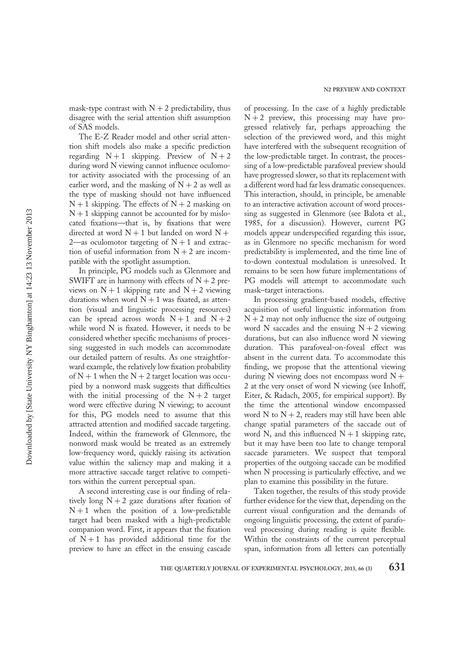mask-type contrast with  $N + 2$  predictability, thus disagree with the serial attention shift assumption of SAS models.

The E-Z Reader model and other serial attention shift models also make a specific prediction regarding  $N+1$  skipping. Preview of  $N+2$ during word N viewing cannot influence oculomotor activity associated with the processing of an earlier word, and the masking of  $N + 2$  as well as the type of masking should not have influenced  $N + 1$  skipping. The effects of  $N + 2$  masking on  $N + 1$  skipping cannot be accounted for by mislocated fixations—that is, by fixations that were directed at word  $N + 1$  but landed on word  $N +$ 2—as oculomotor targeting of  $N + 1$  and extraction of useful information from  $N + 2$  are incompatible with the spotlight assumption.

In principle, PG models such as Glenmore and SWIFT are in harmony with effects of  $N + 2$  previews on  $N + 1$  skipping rate and  $N + 2$  viewing durations when word  $N + 1$  was fixated, as attention (visual and linguistic processing resources) can be spread across words  $N+1$  and  $N+2$ while word N is fixated. However, it needs to be considered whether specific mechanisms of processing suggested in such models can accommodate our detailed pattern of results. As one straightforward example, the relatively low fixation probability of  $N + 1$  when the  $N + 2$  target location was occupied by a nonword mask suggests that difficulties with the initial processing of the  $N + 2$  target word were effective during N viewing; to account for this, PG models need to assume that this attracted attention and modified saccade targeting. Indeed, within the framework of Glenmore, the nonword mask would be treated as an extremely low-frequency word, quickly raising its activation value within the saliency map and making it a more attractive saccade target relative to competitors within the current perceptual span.

A second interesting case is our finding of relatively long  $N + 2$  gaze durations after fixation of  $N + 1$  when the position of a low-predictable target had been masked with a high-predictable companion word. First, it appears that the fixation of  $N+1$  has provided additional time for the preview to have an effect in the ensuing cascade

of processing. In the case of a highly predictable  $N + 2$  preview, this processing may have progressed relatively far, perhaps approaching the selection of the previewed word, and this might have interfered with the subsequent recognition of the low-predictable target. In contrast, the processing of a low-predictable parafoveal preview should have progressed slower, so that its replacement with a different word had far less dramatic consequences. This interaction, should, in principle, be amenable to an interactive activation account of word processing as suggested in Glenmore (see Balota et al., 1985, for a discussion). However, current PG models appear underspecified regarding this issue, as in Glenmore no specific mechanism for word predictability is implemented, and the time line of to-down contextual modulation is unresolved. It remains to be seen how future implementations of PG models will attempt to accommodate such mask–target interactions.

In processing gradient-based models, effective acquisition of useful linguistic information from  $N + 2$  may not only influence the size of outgoing word N saccades and the ensuing  $N + 2$  viewing durations, but can also influence word N viewing duration. This parafoveal-on-foveal effect was absent in the current data. To accommodate this finding, we propose that the attentional viewing during N viewing does not encompass word  $N +$ 2 at the very onset of word N viewing (see Inhoff, Eiter, & Radach, 2005, for empirical support). By the time the attentional window encompassed word N to  $N + 2$ , readers may still have been able change spatial parameters of the saccade out of word N, and this influenced  $N + 1$  skipping rate, but it may have been too late to change temporal saccade parameters. We suspect that temporal properties of the outgoing saccade can be modified when N processing is particularly effective, and we plan to examine this possibility in the future.

Taken together, the results of this study provide further evidence for the view that, depending on the current visual configuration and the demands of ongoing linguistic processing, the extent of parafoveal processing during reading is quite flexible. Within the constraints of the current perceptual span, information from all letters can potentially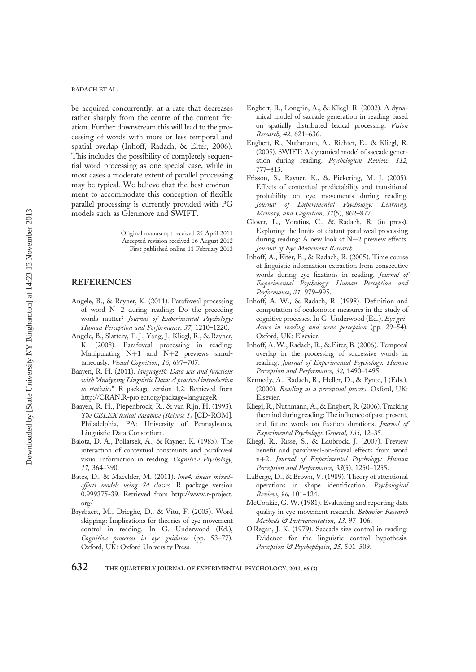be acquired concurrently, at a rate that decreases rather sharply from the centre of the current fixation. Further downstream this will lead to the processing of words with more or less temporal and spatial overlap (Inhoff, Radach, & Eiter, 2006). This includes the possibility of completely sequential word processing as one special case, while in most cases a moderate extent of parallel processing may be typical. We believe that the best environment to accommodate this conception of flexible parallel processing is currently provided with PG models such as Glenmore and SWIFT.

> Original manuscript received 25 April 2011 Accepted revision received 16 August 2012 First published online 11 February 2013

## REFERENCES

- Angele, B., & Rayner, K. (2011). Parafoveal processing of word N+2 during reading: Do the preceding words matter? Journal of Experimental Psychology: Human Perception and Performance, 37, 1210–1220.
- Angele, B., Slattery, T. J., Yang, J., Kliegl, R., & Rayner, K. (2008). Parafoveal processing in reading: Manipulating N+1 and N+2 previews simultaneously. Visual Cognition, 16, 697-707.
- Baayen, R. H. (2011). languageR: Data sets and functions with "Analyzing Linguistic Data: A practical introduction to statistics". R package version 1.2. Retrieved from http://CRAN.R-project.org/package=languageR
- Baayen, R. H., Piepenbrock, R., & van Rijn, H. (1993). The CELEX lexical database (Release 1) [CD-ROM]. Philadelphia, PA: University of Pennsylvania, Linguistic Data Consortium.
- Balota, D. A., Pollatsek, A., & Rayner, K. (1985). The interaction of contextual constraints and parafoveal visual information in reading. Cognitive Psychology, 17, 364–390.
- Bates, D., & Maechler, M. (2011). lme4: linear mixedeffects models using S4 classes. R package version 0.999375-39. Retrieved from http://www.r-project. org/
- Brysbaert, M., Drieghe, D., & Vitu, F. (2005). Word skipping: Implications for theories of eye movement control in reading. In G. Underwood (Ed.), Cognitive processes in eye guidance (pp. 53–77). Oxford, UK: Oxford University Press.
- Engbert, R., Longtin, A., & Kliegl, R. (2002). A dynamical model of saccade generation in reading based on spatially distributed lexical processing. Vision Research, 42, 621–636.
- Engbert, R., Nuthmann, A., Richter, E., & Kliegl, R. (2005). SWIFT: A dynamical model of saccade generation during reading. Psychological Review, 112, 777–813.
- Frisson, S., Rayner, K., & Pickering, M. J. (2005). Effects of contextual predictability and transitional probability on eye movements during reading. Journal of Experimental Psychology: Learning, Memory, and Cognition, 31(5), 862–877.
- Glover, L., Vorstius, C., & Radach, R. (in press). Exploring the limits of distant parafoveal processing during reading: A new look at N+2 preview effects. Journal of Eye Movement Research.
- Inhoff, A., Eiter, B., & Radach, R. (2005). Time course of linguistic information extraction from consecutive words during eye fixations in reading. Journal of Experimental Psychology: Human Perception and Performance, 31, 979–995.
- Inhoff, A. W., & Radach, R. (1998). Definition and computation of oculomotor measures in the study of cognitive processes. In G. Underwood (Ed.), Eye guidance in reading and scene perception (pp. 29–54). Oxford, UK: Elsevier.
- Inhoff, A. W., Radach, R., & Eiter, B. (2006). Temporal overlap in the processing of successive words in reading. Journal of Experimental Psychology: Human Perception and Performance, 32, 1490–1495.
- Kennedy, A., Radach, R., Heller, D., & Pynte, J (Eds.). (2000). Reading as a perceptual process. Oxford, UK: Elsevier.
- Kliegl, R., Nuthmann, A., & Engbert, R. (2006). Tracking the mind during reading: The influence of past, present, and future words on fixation durations. Journal of Experimental Psychology: General, 135, 12–35.
- Kliegl, R., Risse, S., & Laubrock, J. (2007). Preview benefit and parafoveal-on-foveal effects from word n+2. Journal of Experimental Psychology: Human Perception and Performance, 33(5), 1250–1255.
- LaBerge, D., & Brown, V. (1989). Theory of attentional operations in shape identification. Psychological Review, 96, 101–124.
- McConkie, G. W. (1981). Evaluating and reporting data quality in eye movement research. Behavior Research Methods & Instrumentation, 13, 97–106.
- O'Regan, J. K. (1979). Saccade size control in reading: Evidence for the linguistic control hypothesis. Perception & Psychophysics, 25, 501-509.